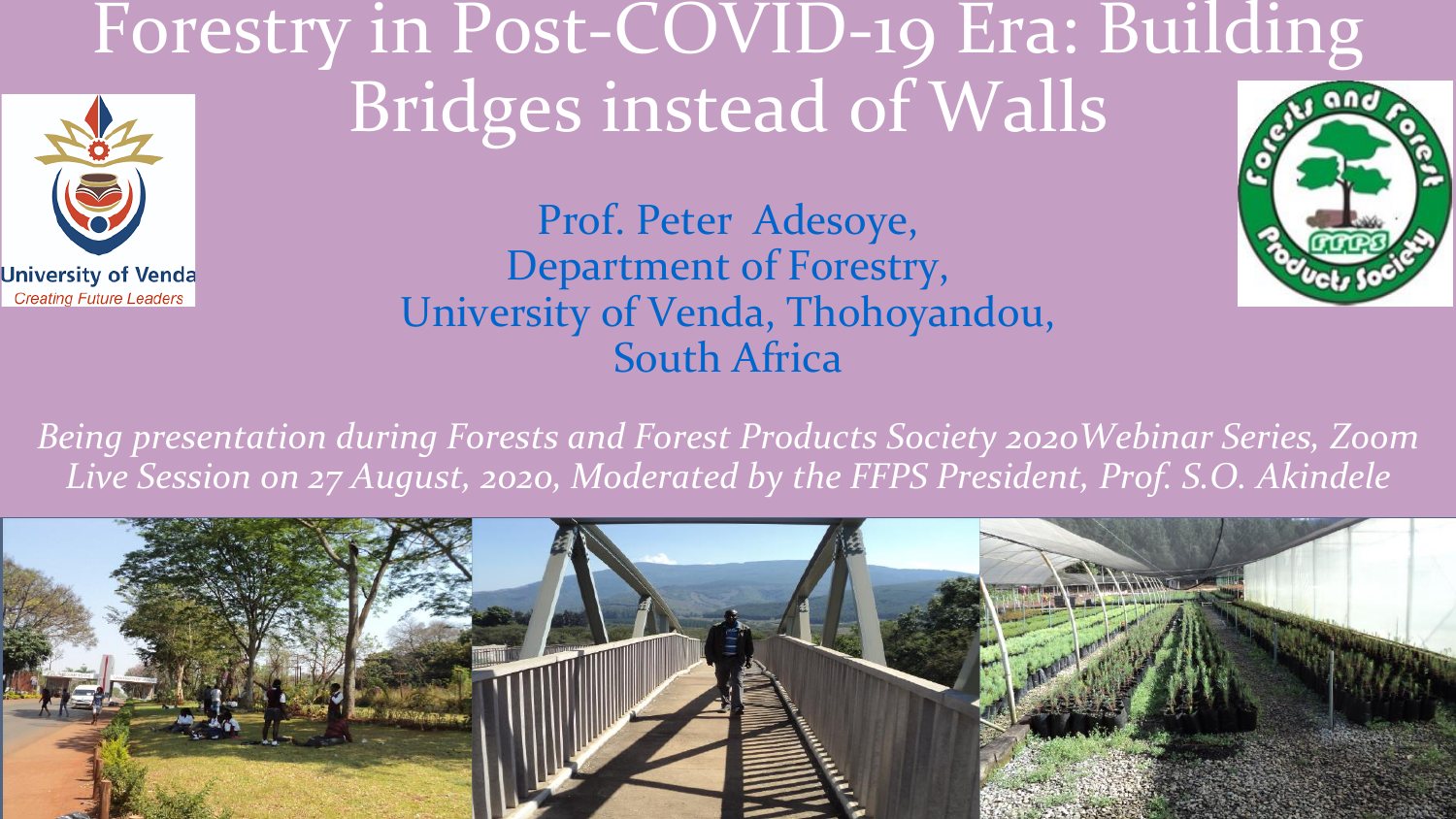## Forestry in Post-COVID-19 Era: Building Bridges instead of Walls



**University of Venda Creating Future Leaders** 



*Being presentation during Forests and Forest Products Society 2020Webinar Series, Zoom Live Session on 27 August, 2020, Moderated by the FFPS President, Prof. S.O. Akindele*

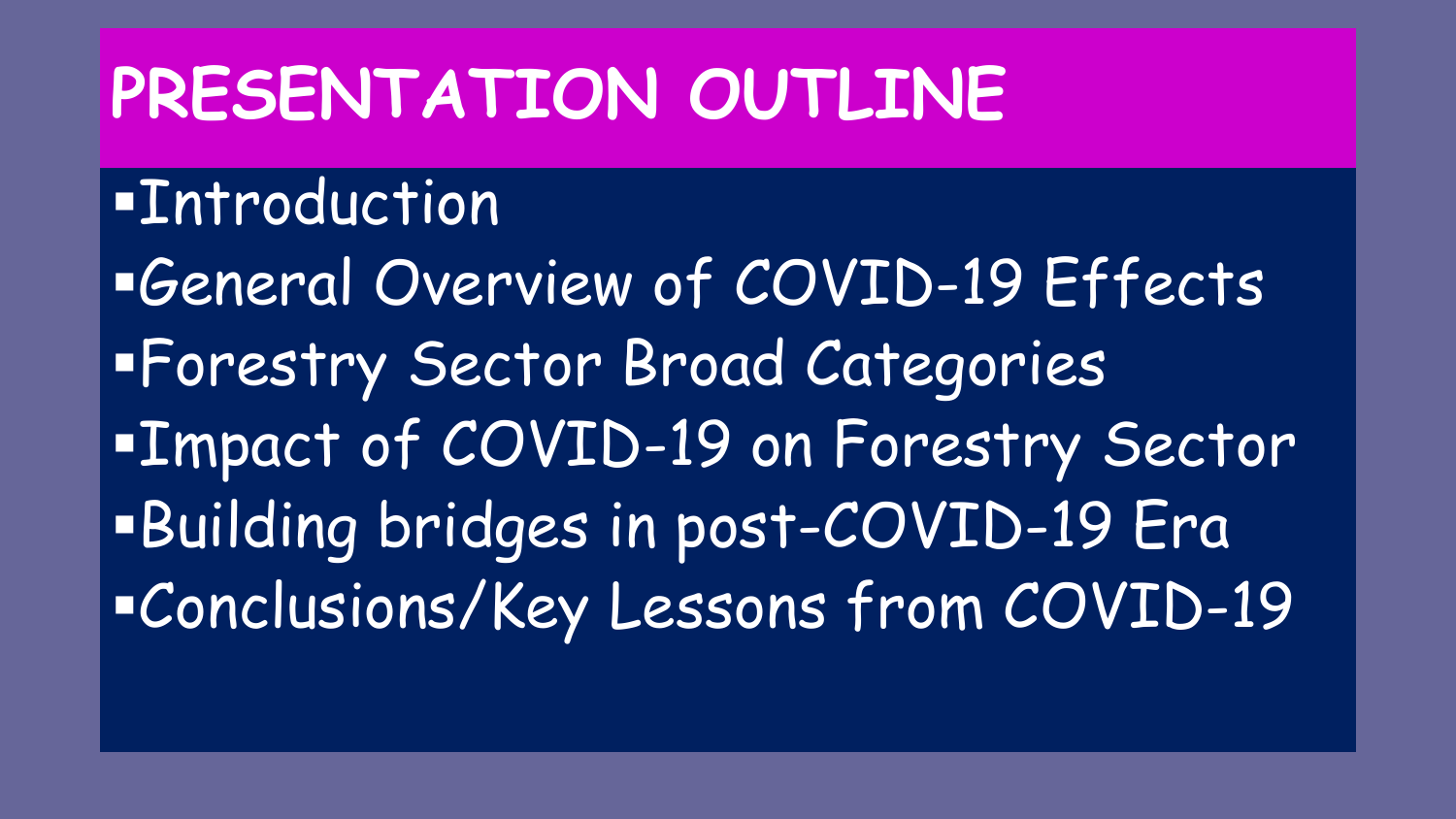# **PRESENTATION OUTLINE**

#### **Entroduction**

▪General Overview of COVID-19 Effects ▪Forestry Sector Broad Categories ▪Impact of COVID-19 on Forestry Sector ▪Building bridges in post-COVID-19 Era ▪Conclusions/Key Lessons from COVID-19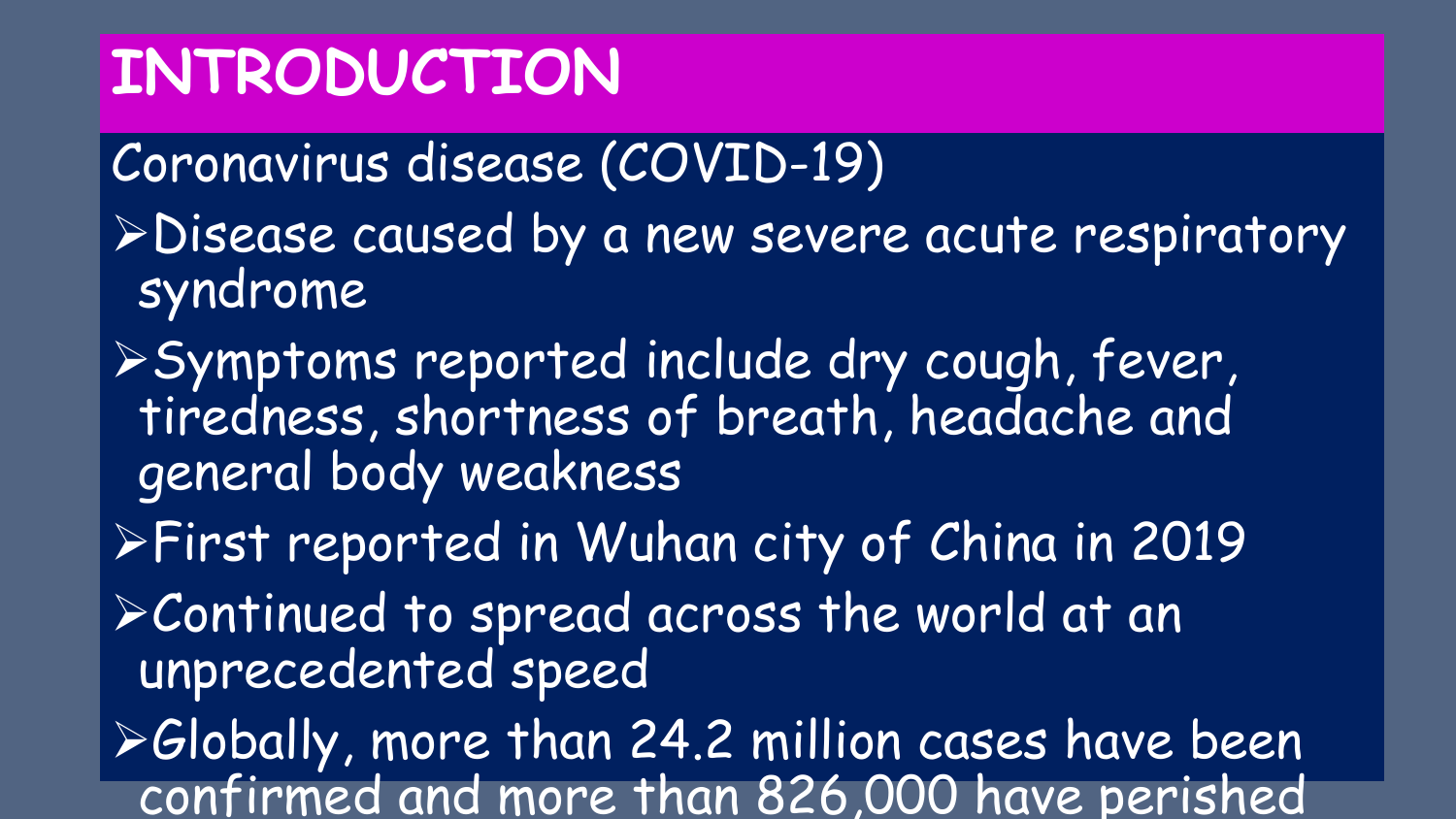## **INTRODUCTION**

Coronavirus disease (COVID-19)

- ➢Disease caused by a new severe acute respiratory syndrome
- ➢Symptoms reported include dry cough, fever, tiredness, shortness of breath, headache and general body weakness
- ➢First reported in Wuhan city of China in 2019
- ➢Continued to spread across the world at an unprecedented speed
- ➢Globally, more than 24.2 million cases have been confirmed and more than 826,000 have perished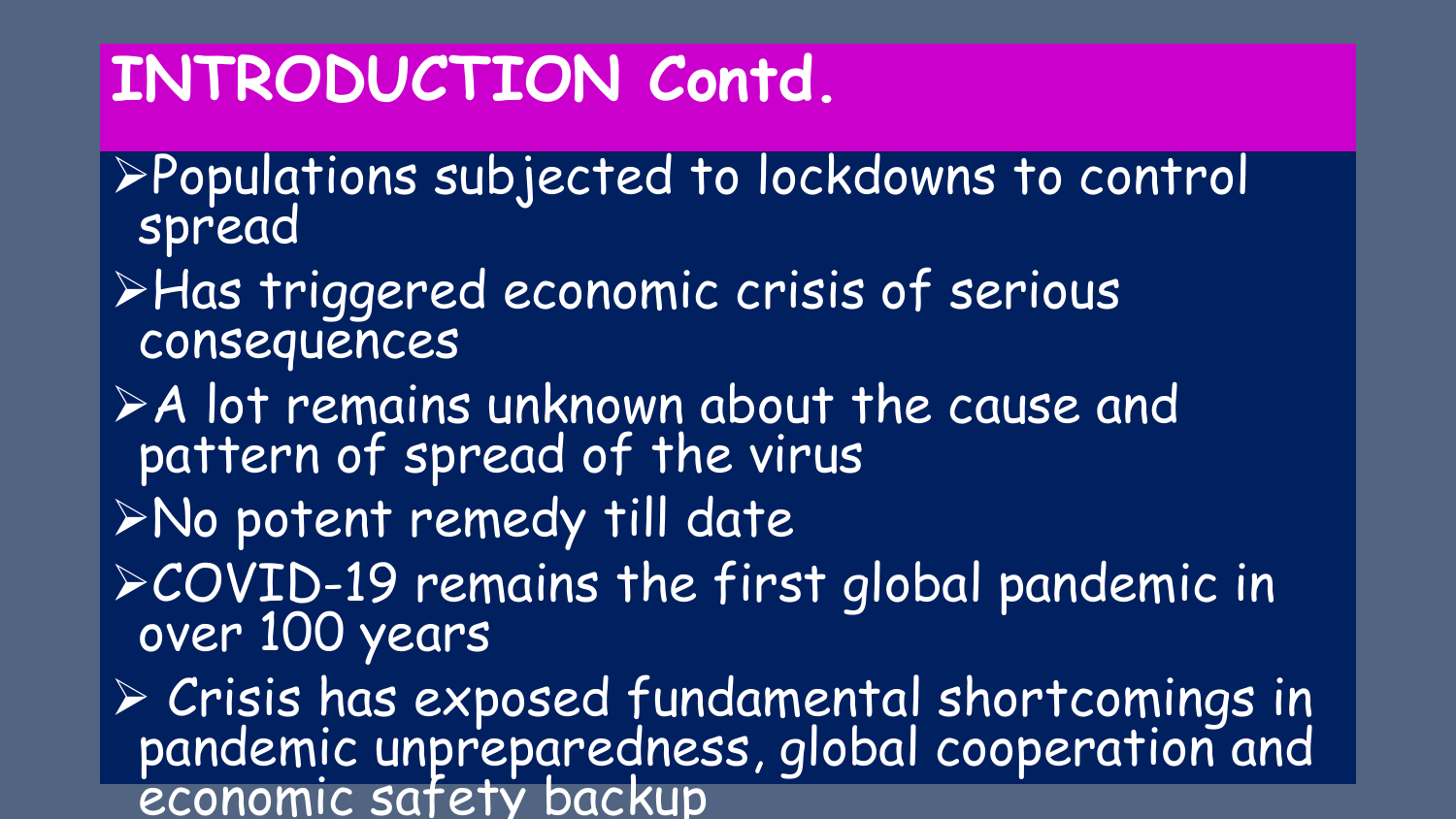## **INTRODUCTION Contd.**

- ➢Populations subjected to lockdowns to control spread
- ➢Has triggered economic crisis of serious consequences
- ➢A lot remains unknown about the cause and pattern of spread of the virus
- ➢No potent remedy till date
- ➢COVID-19 remains the first global pandemic in over 100 years

➢ Crisis has exposed fundamental shortcomings in pandemic unpreparedness, global cooperation and economic safety backup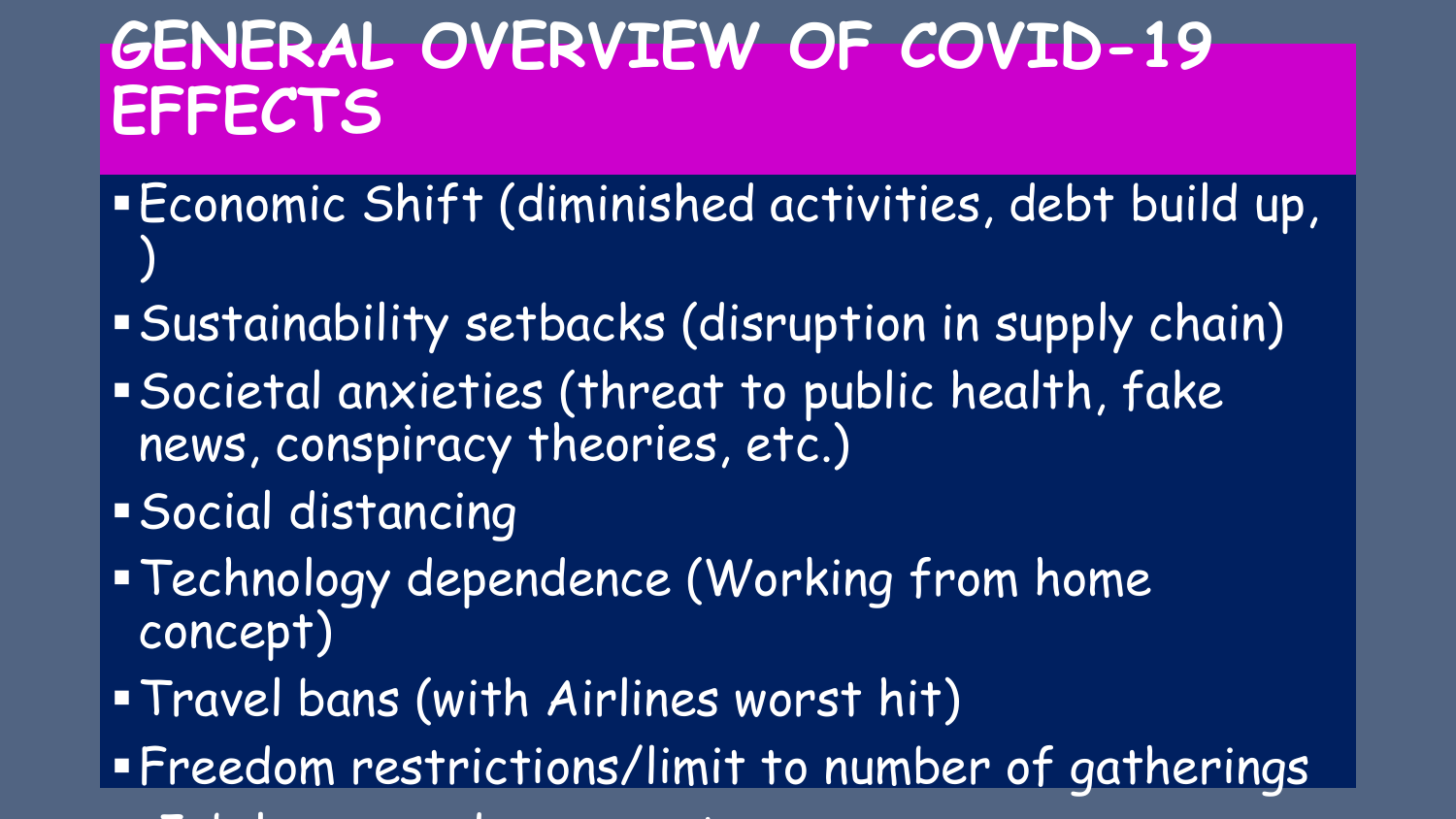## **GENERAL OVERVIEW OF COVID-19 EFFECTS**

- ▪Economic Shift (diminished activities, debt build up, )
- ▪Sustainability setbacks (disruption in supply chain) ▪Societal anxieties (threat to public health, fake
- news, conspiracy theories, etc.)
- ▪Social distancing
- **Technology dependence (Working from home** concept)
- ▪Travel bans (with Airlines worst hit)
- **Freedom restrictions/limit to number of gatherings**
- **★ Job losses and wages cut in the cut in the cut in the cut in the cut in the cut in the cut in the cut in the**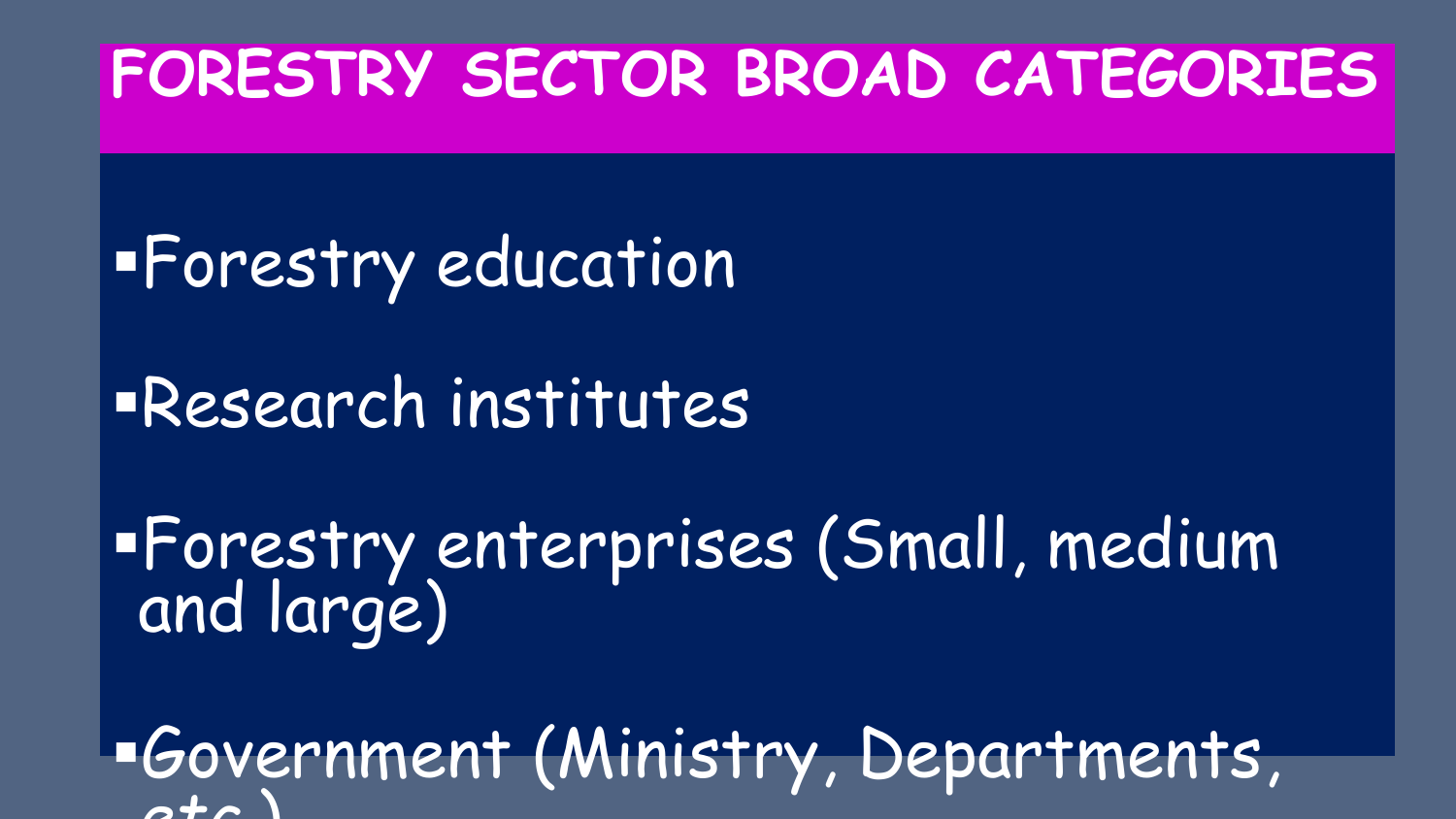### **FORESTRY SECTOR BROAD CATEGORIES**

**EForestry education** ▪Research institutes

▪Forestry enterprises (Small, medium and large)

▪Government (Ministry, Departments, *etc.*)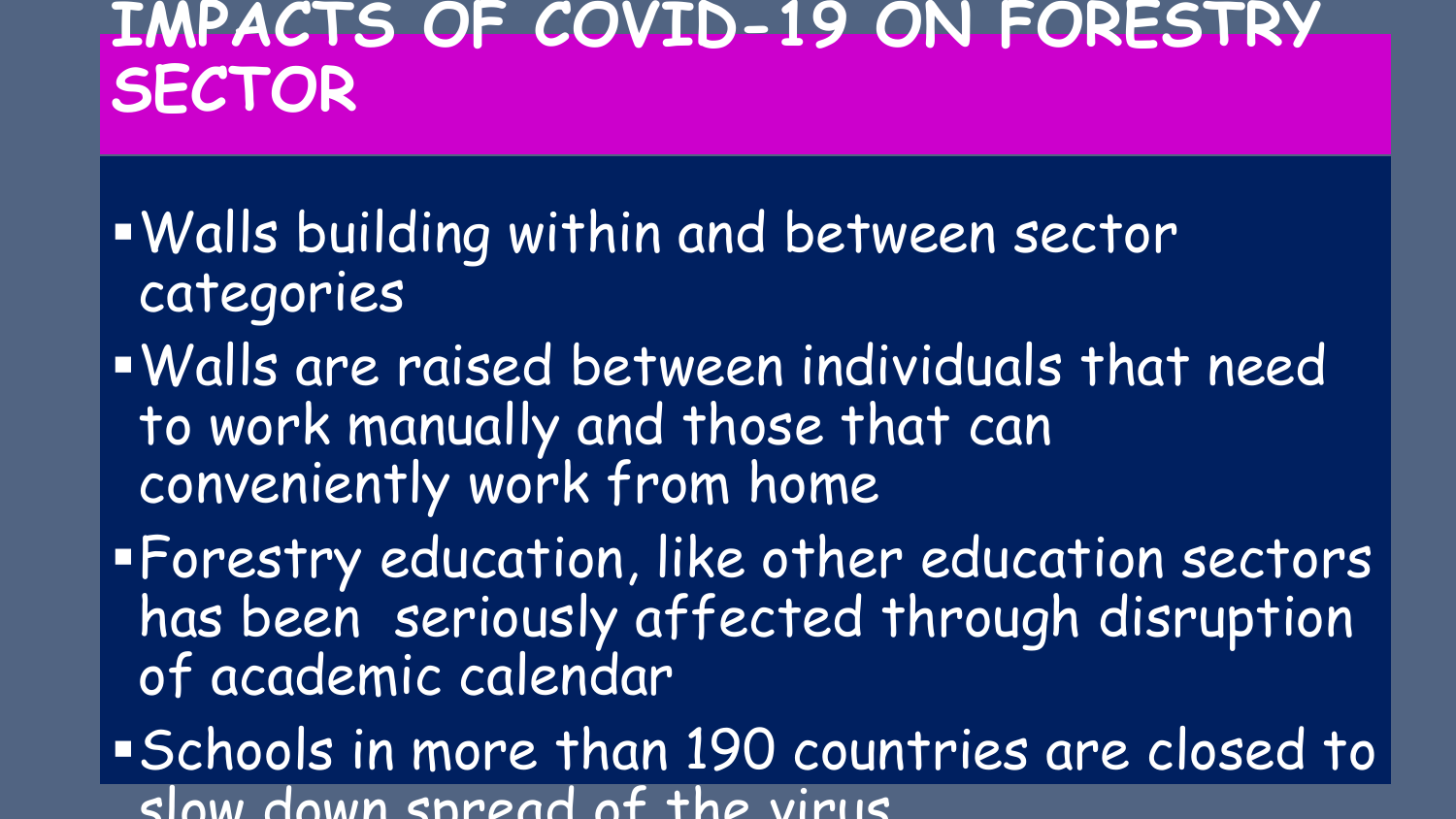#### **IMPACTS OF COVID-19 ON FORESTRY SECTOR**

- ▪Walls building within and between sector categories
- ▪Walls are raised between individuals that need to work manually and those that can conveniently work from home
- **. Forestry education, like other education sectors** has been seriously affected through disruption of academic calendar
- ▪Schools in more than 190 countries are closed to slow down spread of the virus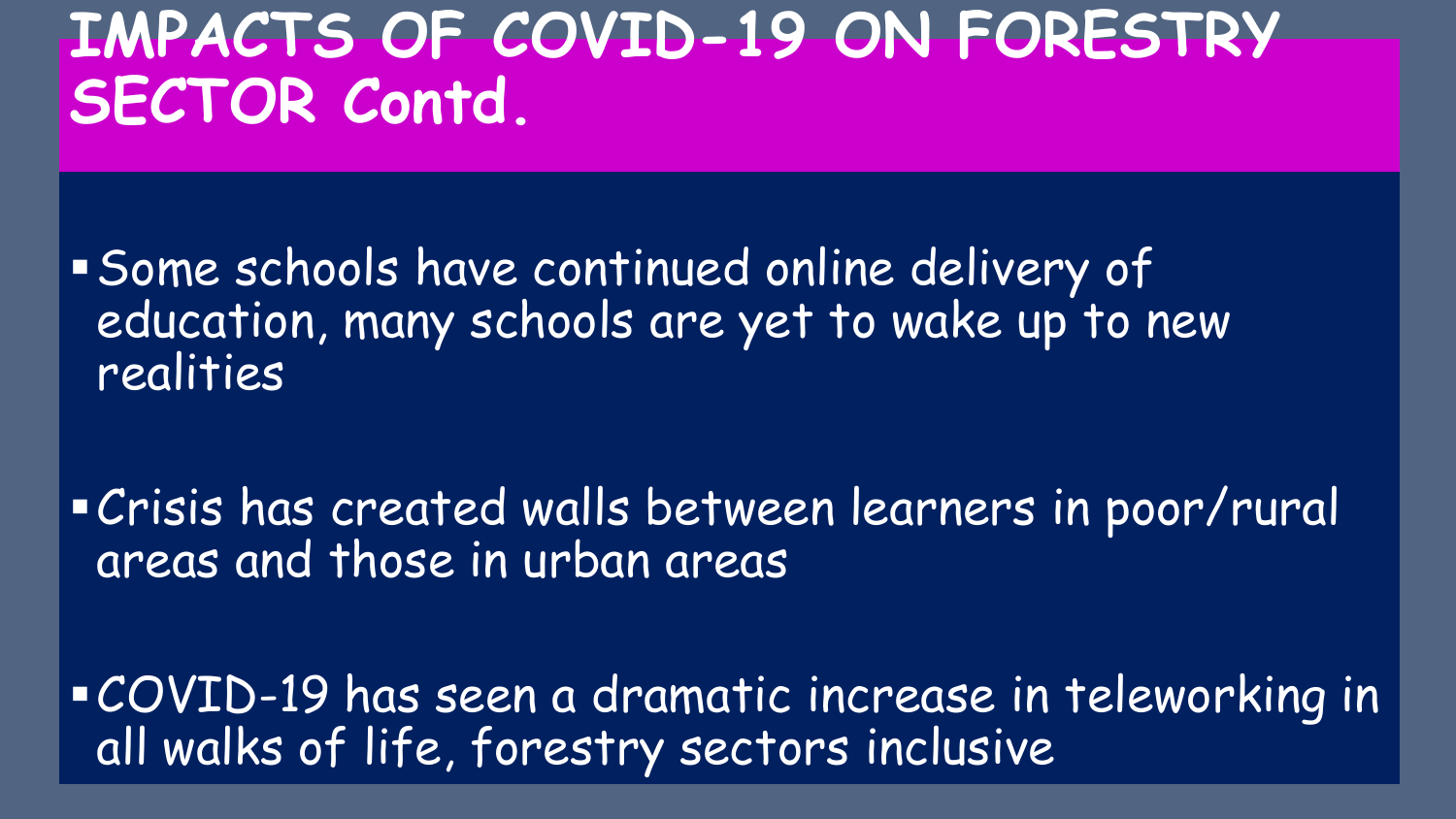### **IMPACTS OF COVID-19 ON FORESTRY SECTOR Contd.**

▪Some schools have continued online delivery of education, many schools are yet to wake up to new realities

▪Crisis has created walls between learners in poor/rural areas and those in urban areas

▪COVID-19 has seen a dramatic increase in teleworking in all walks of life, forestry sectors inclusive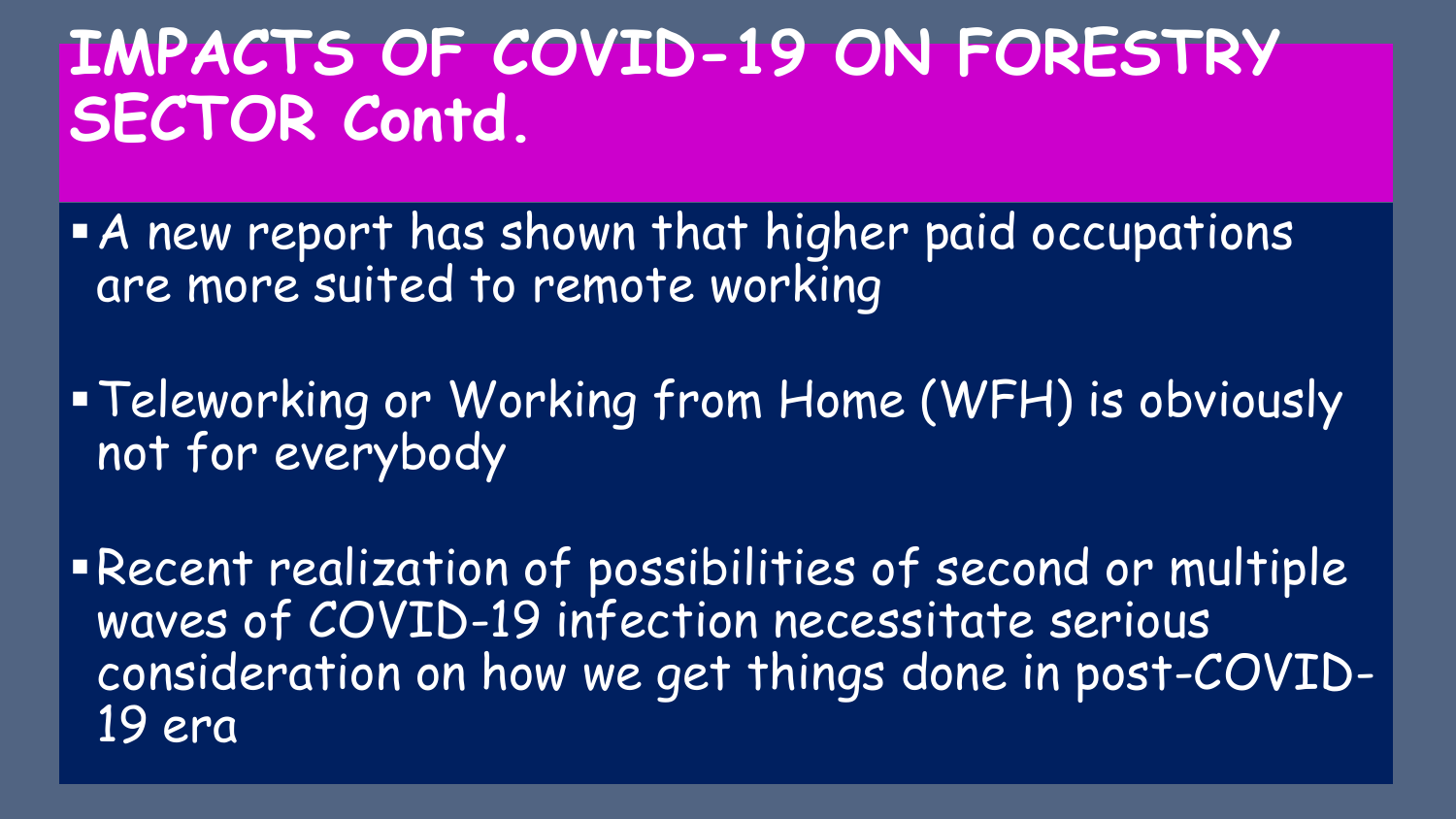### **IMPACTS OF COVID-19 ON FORESTRY SECTOR Contd.**

- **A** new report has shown that higher paid occupations are more suited to remote working
- **Teleworking or Working from Home (WFH) is obviously** not for everybody

▪Recent realization of possibilities of second or multiple waves of COVID-19 infection necessitate serious consideration on how we get things done in post-COVID-19 era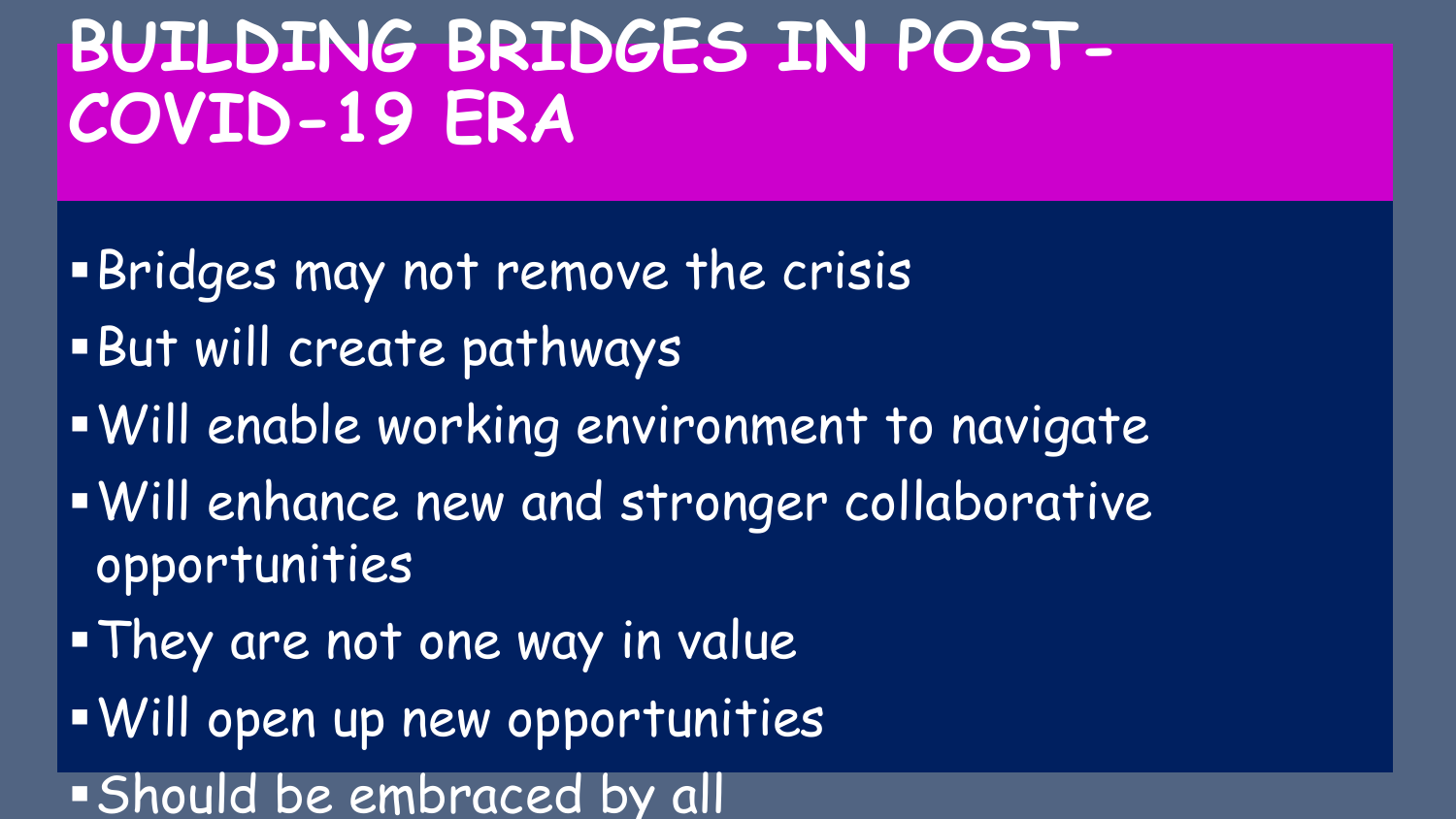# **BUILDING BRIDGES IN POST-COVID-19 ERA**

- **Bridges may not remove the crisis**
- ▪But will create pathways
- .Will enable working environment to navigate
- ▪Will enhance new and stronger collaborative opportunities
- . They are not one way in value
- ▪Will open up new opportunities
- **Should be embraced by all**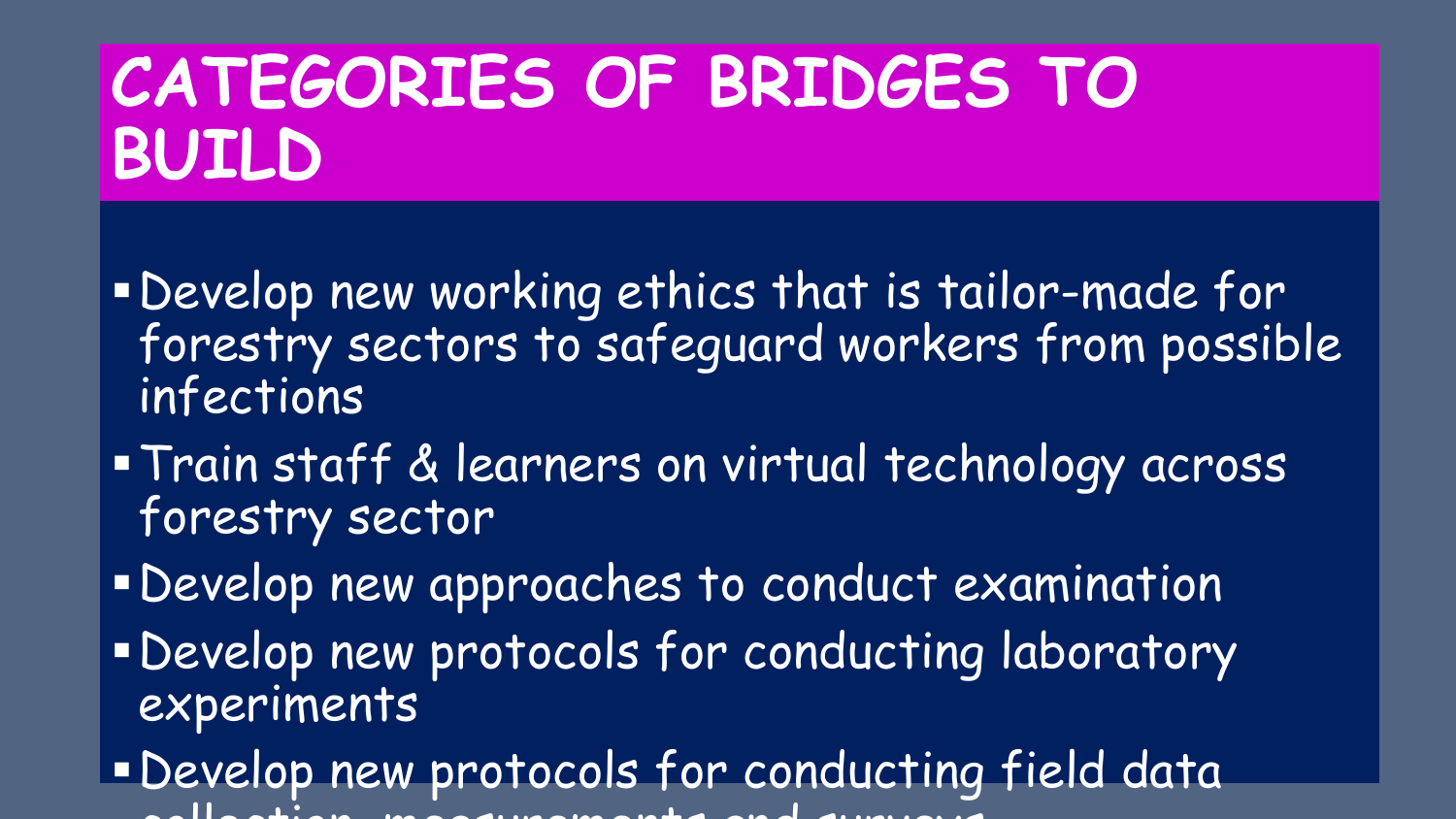# **CATEGORIES OF BRIDGES TO BUILD**

- ▪Develop new working ethics that is tailor-made for forestry sectors to safeguard workers from possible infections
- ▪Train staff & learners on virtual technology across forestry sector
- ▪Develop new approaches to conduct examination
- **. Develop new protocols for conducting laboratory** experiments
- ▪Develop new protocols for conducting field data collection, measurements and surveys and surveys and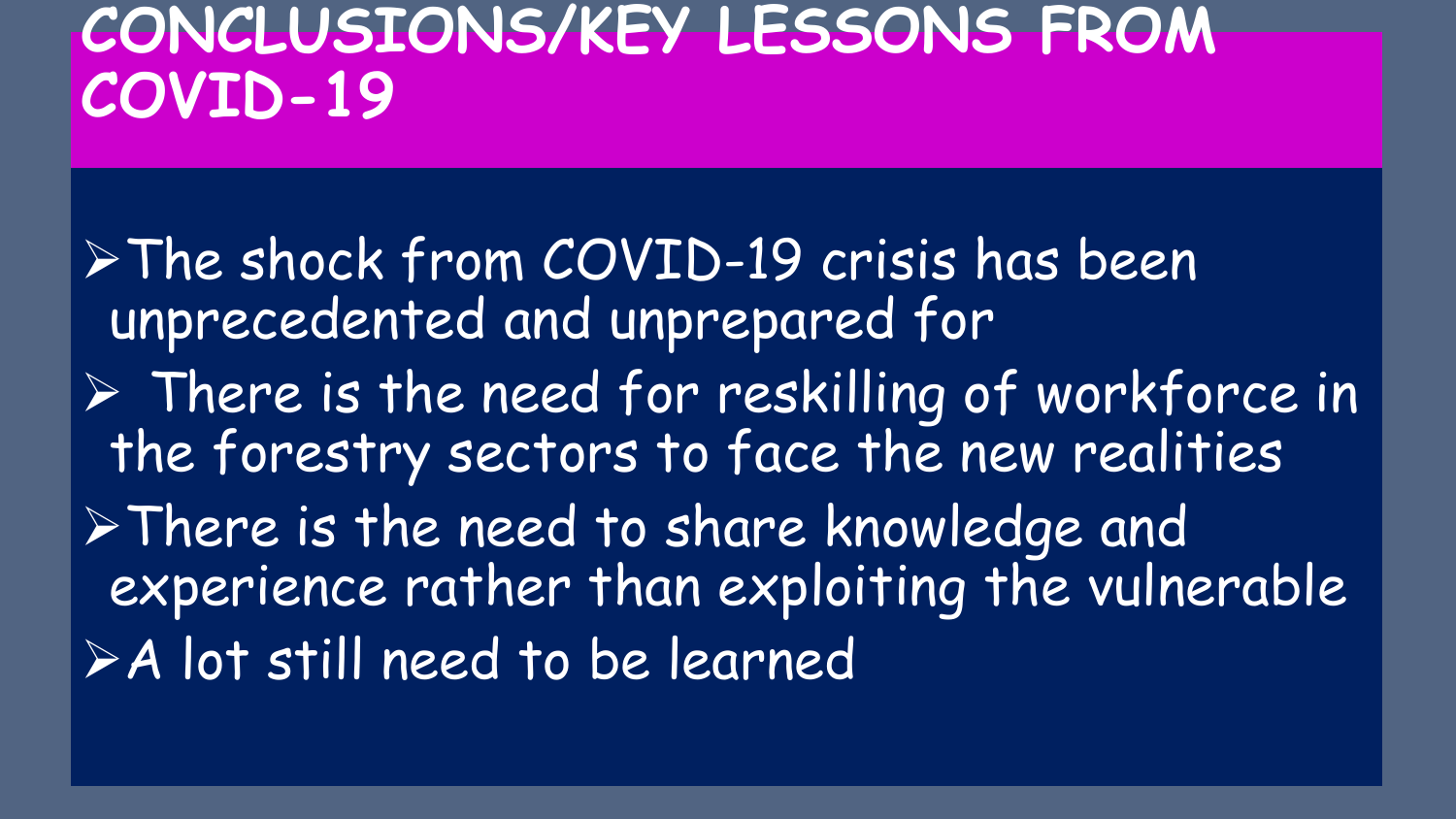### **CONCLUSIONS/KEY LESSONS FROM COVID-19**

➢The shock from COVID-19 crisis has been unprecedented and unprepared for ➢ There is the need for reskilling of workforce in the forestry sectors to face the new realities ➢There is the need to share knowledge and experience rather than exploiting the vulnerable ➢A lot still need to be learned